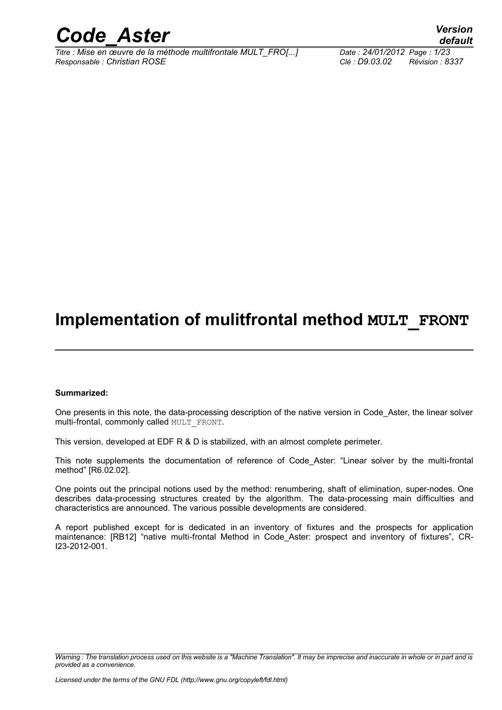

*Titre : Mise en œuvre de la méthode multifrontale MULT\_FRO[...] Date : 24/01/2012 Page : 1/23 Responsable : Christian ROSE Clé : D9.03.02 Révision : 8337*

*default*

## **Implementation of mulitfrontal method MULT\_FRONT**

#### **Summarized:**

One presents in this note, the data-processing description of the native version in Code\_Aster, the linear solver multi-frontal, commonly called MULT\_FRONT.

This version, developed at EDF R & D is stabilized, with an almost complete perimeter.

This note supplements the documentation of reference of Code Aster: "Linear solver by the multi-frontal method" [R6.02.02].

One points out the principal notions used by the method: renumbering, shaft of elimination, super-nodes. One describes data-processing structures created by the algorithm. The data-processing main difficulties and characteristics are announced. The various possible developments are considered.

A report published except for is dedicated in an inventory of fixtures and the prospects for application maintenance: [RB12] "native multi-frontal Method in Code\_Aster: prospect and inventory of fixtures", CR-I23-2012-001.

*Warning : The translation process used on this website is a "Machine Translation". It may be imprecise and inaccurate in whole or in part and is provided as a convenience.*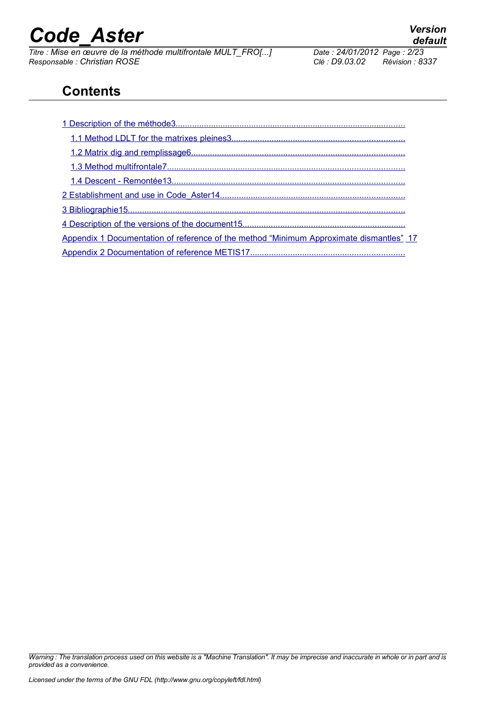*Titre : Mise en œuvre de la méthode multifrontale MULT\_FRO[...] Date : 24/01/2012 Page : 24/01/2012 Page : Christian ROSE Responsable : Christian ROSE Clé : D9.03.02 Révision : 8337*

<span id="page-1-3"></span><span id="page-1-2"></span><span id="page-1-1"></span><span id="page-1-0"></span>

## **Contents**

| Appendix 1 Documentation of reference of the method "Minimum Approximate dismantles" 17 |  |  |
|-----------------------------------------------------------------------------------------|--|--|
|                                                                                         |  |  |

*Warning : The translation process used on this website is a "Machine Translation". It may be imprecise and inaccurate in whole or in part and is provided as a convenience.*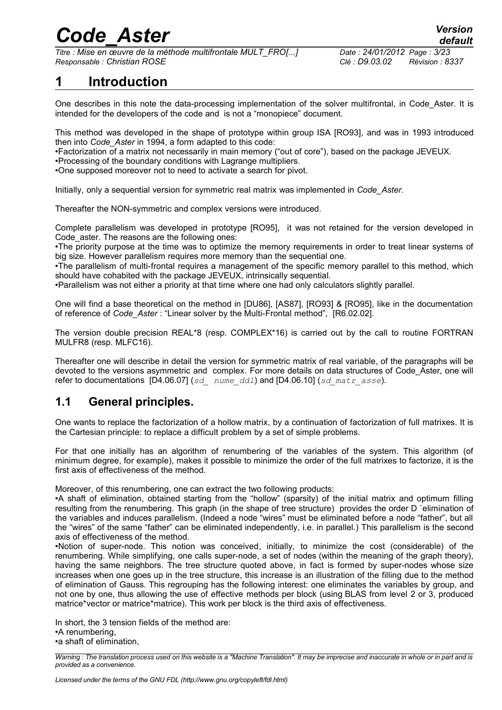*Titre : Mise en œuvre de la méthode multifrontale MULT\_FRO[...] Date : 24/01/2012 Page : 3/23 Responsable : Christian ROSE Clé : D9.03.02 Révision : 8337*

*default*

## <span id="page-2-0"></span>**1 Introduction**

One describes in this note the data-processing implementation of the solver multifrontal, in Code\_Aster. It is intended for the developers of the code and is not a "monopiece" document.

This method was developed in the shape of prototype within group ISA [RO93], and was in 1993 introduced then into *Code\_Aster* in 1994, a form adapted to this code:

•Factorization of a matrix not necessarily in main memory ("out of core"), based on the package JEVEUX.

•Processing of the boundary conditions with Lagrange multipliers.

•One supposed moreover not to need to activate a search for pivot.

Initially, only a sequential version for symmetric real matrix was implemented in *Code\_Aster*.

Thereafter the NON-symmetric and complex versions were introduced.

Complete parallelism was developed in prototype [RO95], it was not retained for the version developed in Code aster. The reasons are the following ones:

•The priority purpose at the time was to optimize the memory requirements in order to treat linear systems of big size. However parallelism requires more memory than the sequential one.

•The parallelism of multi-frontal requires a management of the specific memory parallel to this method, which should have cohabited with the package JEVEUX, intrinsically sequential.

•Parallelism was not either a priority at that time where one had only calculators slightly parallel.

One will find a base theoretical on the method in [DU86], [AS87], [RO93] & [RO95], like in the documentation of reference of *Code\_Aster* : "Linear solver by the Multi-Frontal method", [R6.02.02].

The version double precision REAL\*8 (resp. COMPLEX\*16) is carried out by the call to routine FORTRAN MULFR8 (resp. MLFC16).

Thereafter one will describe in detail the version for symmetric matrix of real variable, of the paragraphs will be devoted to the versions asymmetric and complex. For more details on data structures of Code\_Aster, one will refer to documentations [D4.06.07] (*sd\_ nume\_ddl*) and [D4.06.10] (*sd\_matr\_asse*).

### <span id="page-2-1"></span>**1.1 General principles.**

One wants to replace the factorization of a hollow matrix, by a continuation of factorization of full matrixes. It is the Cartesian principle: to replace a difficult problem by a set of simple problems.

For that one initially has an algorithm of renumbering of the variables of the system. This algorithm (of minimum degree, for example), makes it possible to minimize the order of the full matrixes to factorize, it is the first axis of effectiveness of the method.

Moreover, of this renumbering, one can extract the two following products:

•A shaft of elimination, obtained starting from the "hollow" (sparsity) of the initial matrix and optimum filling resulting from the renumbering. This graph (in the shape of tree structure) provides the order D `elimination of the variables and induces parallelism. (Indeed a node "wires" must be eliminated before a node "father", but all the "wires" of the same "father" can be eliminated independently, i.e. in parallel.) This parallelism is the second axis of effectiveness of the method.

•Notion of super-node. This notion was conceived, initially, to minimize the cost (considerable) of the renumbering. While simplifying, one calls super-node, a set of nodes (within the meaning of the graph theory), having the same neighbors. The tree structure quoted above, in fact is formed by super-nodes whose size increases when one goes up in the tree structure, this increase is an illustration of the filling due to the method of elimination of Gauss. This regrouping has the following interest: one eliminates the variables by group, and not one by one, thus allowing the use of effective methods per block (using BLAS from level 2 or 3, produced matrice\*vector or matrice\*matrice). This work per block is the third axis of effectiveness.

In short, the 3 tension fields of the method are: •A renumbering,

•a shaft of elimination,

*Warning : The translation process used on this website is a "Machine Translation". It may be imprecise and inaccurate in whole or in part and is provided as a convenience.*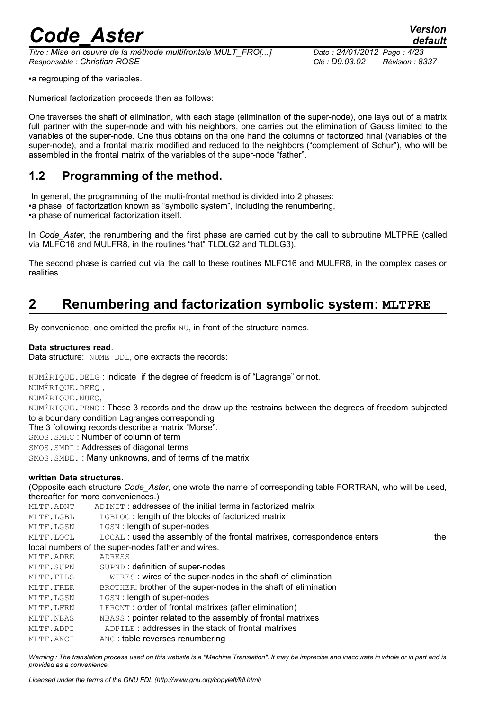*Titre : Mise en œuvre de la méthode multifrontale MULT\_FRO[...] Date : 24/01/2012 Page : 4/23 Responsable : Christian ROSE Clé : D9.03.02 Révision : 8337*

•a regrouping of the variables.

Numerical factorization proceeds then as follows:

One traverses the shaft of elimination, with each stage (elimination of the super-node), one lays out of a matrix full partner with the super-node and with his neighbors, one carries out the elimination of Gauss limited to the variables of the super-node. One thus obtains on the one hand the columns of factorized final (variables of the super-node), and a frontal matrix modified and reduced to the neighbors ("complement of Schur"), who will be assembled in the frontal matrix of the variables of the super-node "father".

### <span id="page-3-1"></span>**1.2 Programming of the method.**

 In general, the programming of the multi-frontal method is divided into 2 phases: •a phase of factorization known as "symbolic system", including the renumbering, •a phase of numerical factorization itself.

In *Code\_Aster*, the renumbering and the first phase are carried out by the call to subroutine MLTPRE (called via MLFC16 and MULFR8, in the routines "hat" TLDLG2 and TLDLG3).

The second phase is carried out via the call to these routines MLFC16 and MULFR8, in the complex cases or realities.

### <span id="page-3-0"></span>**2 Renumbering and factorization symbolic system: MLTPRE**

By convenience, one omitted the prefix NU, in front of the structure names.

#### **Data structures read**.

Data structure: NUME DDL, one extracts the records:

NUMÉRIQUE.DELG : indicate if the degree of freedom is of "Lagrange" or not.

NUMÉRIQUE.DEEQ ,

NUMÉRIQUE.NUEQ,

NUMÉRIQUE.PRNO : These 3 records and the draw up the restrains between the degrees of freedom subjected to a boundary condition Lagranges corresponding

The 3 following records describe a matrix "Morse".

SMOS.SMHC : Number of column of term

SMOS.SMDI : Addresses of diagonal terms

SMOS.SMDE. : Many unknowns, and of terms of the matrix

#### **written Data structures.**

(Opposite each structure *Code\_Aster*, one wrote the name of corresponding table FORTRAN, who will be used, thereafter for more conveniences.)

| MLTF.ADNT | ADINIT: addresses of the initial terms in factorized matrix              |     |
|-----------|--------------------------------------------------------------------------|-----|
| MLTF.LGBL | LGBLOC: length of the blocks of factorized matrix                        |     |
| MLTF.LGSN | LGSN: length of super-nodes                                              |     |
| MLTF.LOCL | LOCAL : used the assembly of the frontal matrixes, correspondence enters | the |
|           | local numbers of the super-nodes father and wires.                       |     |
| MLTF.ADRE | ADRESS                                                                   |     |
| MLTF.SUPN | SUPND: definition of super-nodes                                         |     |
| MLTF.FILS | WIRES: wires of the super-nodes in the shaft of elimination              |     |
| MLTF.FRER | BROTHER: brother of the super-nodes in the shaft of elimination          |     |
| MLTF.LGSN | LGSN: length of super-nodes                                              |     |
| MLTF.LFRN | LERONT: order of frontal matrixes (after elimination)                    |     |
| MLTF.NBAS | NBASS: pointer related to the assembly of frontal matrixes               |     |
| MLTF.ADPI | ADPILE: addresses in the stack of frontal matrixes                       |     |
| MLTF.ANCI | ANC: table reverses renumbering                                          |     |
|           |                                                                          |     |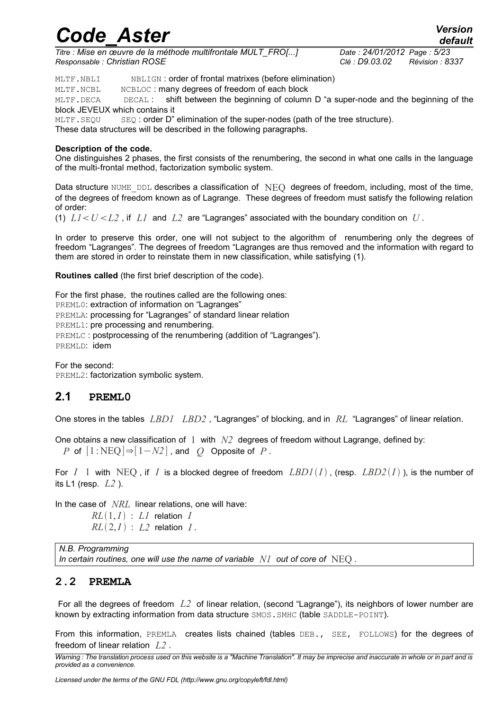*Titre : Mise en œuvre de la méthode multifrontale MULT\_FRO[...] Date : 24/01/2012 Page : 5/23 Responsable : Christian ROSE Clé : D9.03.02 Révision : 8337*

MLTF. NBLI NBLIGN: order of frontal matrixes (before elimination)

MLTF. NCBL NCBLOC: many degrees of freedom of each block

MLTF. DECA DECAL: shift between the beginning of column D "a super-node and the beginning of the block JEVEUX which contains it

MLTF. SEQU SEQ: order D" elimination of the super-nodes (path of the tree structure).

These data structures will be described in the following paragraphs.

#### **Description of the code.**

One distinguishes 2 phases, the first consists of the renumbering, the second in what one calls in the language of the multi-frontal method, factorization symbolic system.

Data structure NUME DDL describes a classification of  $NEO$  degrees of freedom, including, most of the time, of the degrees of freedom known as of Lagrange. These degrees of freedom must satisfy the following relation of order:

(1)  $LI < U < L2$ , if L<sub>1</sub> and L<sub>2</sub> are "Lagranges" associated with the boundary condition on U.

In order to preserve this order, one will not subject to the algorithm of renumbering only the degrees of freedom "Lagranges". The degrees of freedom "Lagranges are thus removed and the information with regard to them are stored in order to reinstate them in new classification, while satisfying (1).

**Routines called** (the first brief description of the code).

For the first phase, the routines called are the following ones: PREML0: extraction of information on "Lagranges" PREMLA: processing for "Lagranges" of standard linear relation PREML1: pre processing and renumbering. PREMLC : postprocessing of the renumbering (addition of "Lagranges"). PREMLD: idem

For the second: PREML2: factorization symbolic system.

#### **2.1 PREML0**

One stores in the tables *LBD1 LBD2* , "Lagranges" of blocking, and in *RL* "Lagranges" of linear relation.

One obtains a new classification of  $1 \text{ with } N2$  degrees of freedom without Lagrange, defined by: *P* of  $[1:NEQ] \Rightarrow [1-N2]$ , and *Q* Opposite of *P*.

For  $I \perp$  1 with NEQ, if  $I$  is a blocked degree of freedom  $LBDI(I)$ , (resp.  $LBD2(I)$ ), is the number of its L1 (resp. *L2* ).

In the case of *NRL* linear relations, one will have:

 $RL(1, I)$  :  $LI$  relation *I*  $RL(2,I)$   $L2$  relation *I*.

*N.B. Programming In certain routines, one will use the name of variable N1 out of core of* NEQ *.*

#### **2.2 PREMLA**

 For all the degrees of freedom *L2* of linear relation, (second "Lagrange"), its neighbors of lower number are known by extracting information from data structure SMOS. SMHC (table SADDLE-POINT).

From this information, PREMLA creates lists chained (tables DEB., SEE, FOLLOWS) for the degrees of freedom of linear relation *L2* .

*Warning : The translation process used on this website is a "Machine Translation". It may be imprecise and inaccurate in whole or in part and is provided as a convenience.*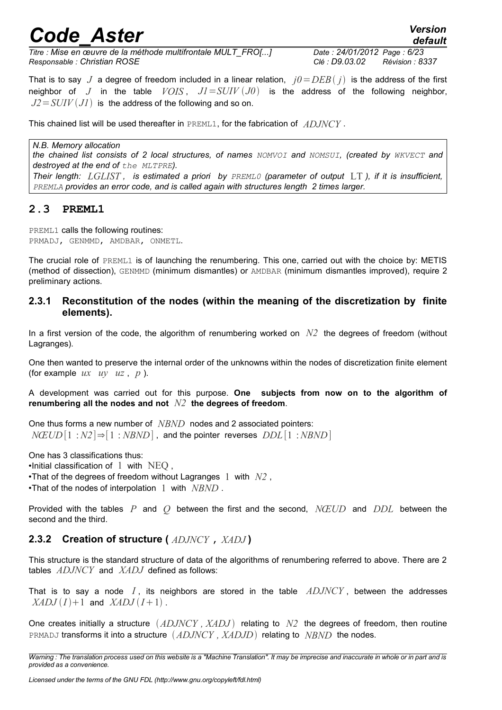*default*

*Titre : Mise en œuvre de la méthode multifrontale MULT\_FRO[...] Date : 24/01/2012 Page : 6/23 Responsable : Christian ROSE Clé : D9.03.02 Révision : 8337*

That is to say *J* a degree of freedom included in a linear relation,  $j0 = DEB(j)$  is the address of the first neighbor of *J* in the table  $VOIS$ ,  $JI = SUIV (J0)$  is the address of the following neighbor,  $J2 = SUIV(JI)$  is the address of the following and so on.

This chained list will be used thereafter in PREML1, for the fabrication of *ADJNCY* .

*N.B. Memory allocation the chained list consists of 2 local structures, of names NOMVOI and NOMSUI, (created by WKVECT and destroyed at the end of the MLTPRE).*

*Their length: LGLIST , is estimated a priori by PREML0 (parameter of output* LT *), if it is insufficient, PREMLA provides an error code, and is called again with structures length 2 times larger.*

#### **2.3 PREML1**

PREML1 calls the following routines: PRMADJ, GENMMD, AMDBAR, ONMETL.

The crucial role of PREML1 is of launching the renumbering. This one, carried out with the choice by: METIS (method of dissection), GENMMD (minimum dismantles) or AMDBAR (minimum dismantles improved), require 2 preliminary actions.

#### **2.3.1 Reconstitution of the nodes (within the meaning of the discretization by finite elements).**

In a first version of the code, the algorithm of renumbering worked on *N2* the degrees of freedom (without Lagranges).

One then wanted to preserve the internal order of the unknowns within the nodes of discretization finite element (for example *ux uy uz* , *p* ).

A development was carried out for this purpose. **One subjects from now on to the algorithm of renumbering all the nodes and not** *N2* **the degrees of freedom**.

One thus forms a new number of *NBND* nodes and 2 associated pointers: *NŒUD* [1 :*N2*]⇒[1 : *NBND*] , and the pointer reverses *DDL*[1 :*NBND*]

One has 3 classifications thus:  $\bullet$ Initial classification of  $1 \text{ with } \text{NEO},$ •That of the degrees of freedom without Lagranges 1 with *N2* , •That of the nodes of interpolation 1 with *NBND* .

Provided with the tables *P* and *Q* between the first and the second, *NŒUD* and *DDL* between the second and the third.

#### **2.3.2 Creation of structure (** *ADJNCY* **,** *XADJ* **)**

This structure is the standard structure of data of the algorithms of renumbering referred to above. There are 2 tables *ADJNCY* and *XADJ* defined as follows:

That is to say a node *I* , its neighbors are stored in the table *ADJNCY* , between the addresses  $XADJ(I)+1$  and  $XADJ(I+1)$ .

One creates initially a structure  $(ADJNCY, XADJ)$  relating to  $N2$  the degrees of freedom, then routine PRMADJ transforms it into a structure *ADJNCY , XADJD* relating to *NBND* the nodes.

*Warning : The translation process used on this website is a "Machine Translation". It may be imprecise and inaccurate in whole or in part and is provided as a convenience.*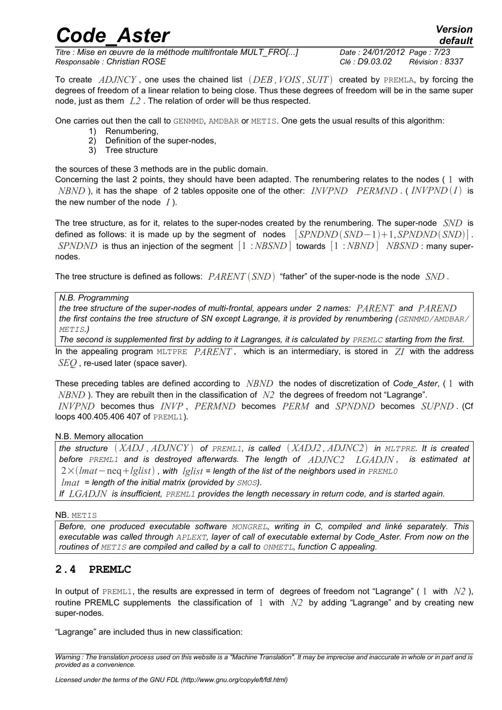*Titre : Mise en œuvre de la méthode multifrontale MULT\_FRO[...] Date : 24/01/2012 Page : 7/23 Responsable : Christian ROSE Clé : D9.03.02 Révision : 8337*

To create *ADJNCY* , one uses the chained list *DEB ,VOIS , SUIT* created by PREMLA, by forcing the degrees of freedom of a linear relation to being close. Thus these degrees of freedom will be in the same super node, just as them *L2* . The relation of order will be thus respected.

One carries out then the call to GENMMD, AMDBAR or METIS. One gets the usual results of this algorithm:

- 1) Renumbering,
- 2) Definition of the super-nodes,
- 3) Tree structure

the sources of these 3 methods are in the public domain.

Concerning the last 2 points, they should have been adapted. The renumbering relates to the nodes ( 1 with *NBND* ), it has the shape of 2 tables opposite one of the other: *INVPND PERMND* . ( *INVPND I* is the new number of the node *I* ).

The tree structure, as for it, relates to the super-nodes created by the renumbering. The super-node *SND* is defined as follows: it is made up by the segment of nodes  $\left[ SPNDND(SND-1)+1, SPNDND(SND) \right]$ . *SPNDND* is thus an injection of the segment [1 :*NBSND*] towards [1 :*NBND* ] *NBSND* : many supernodes.

The tree structure is defined as follows: *PARENT SND* "father" of the super-node is the node *SND* .

*N.B. Programming*

*the tree structure of the super-nodes of multi-frontal, appears under 2 names: PARENT and PAREND the first contains the tree structure of SN except Lagrange, it is provided by renumbering (GENMMD/AMDBAR/ METIS.)*

*The second is supplemented first by adding to it Lagranges, it is calculated by PREMLC starting from the first.* 

In the appealing program MLTPRE *PARENT* , which is an intermediary, is stored in *ZI* with the address *SEQ* , re-used later (space saver).

These preceding tables are defined according to *NBND* the nodes of discretization of *Code\_Aster*, ( 1 with *NBND* ). They are rebuilt then in the classification of *N2* the degrees of freedom not "Lagrange".

*INVPND* becomes thus *INVP* , *PERMND* becomes *PERM* and *SPNDND* becomes *SUPND* . (Cf loops 400.405.406 407 of PREML1).

N.B. Memory allocation

*the structure XADJ , ADJNCY of PREML1, is called XADJ2 , ADJNC2 in MLTPRE. It is created before PREML1 and is destroyed afterwards. The length of ADJNC2 LGADJN , is estimated at* 2×*lmat*−neq*lglist , with lglist = length of the list of the neighbors used in PREML0 lmat = length of the initial matrix (provided by SMOS).*

*If LGADJN is insufficient, PREML1 provides the length necessary in return code, and is started again.*

NB. METIS

*Before, one produced executable software MONGREL, writing in C, compiled and linké separately. This executable was called through APLEXT, layer of call of executable external by Code\_Aster. From now on the routines of METIS are compiled and called by a call to ONMETL, function C appealing.*

#### **2.4 PREMLC**

In output of PREML1, the results are expressed in term of degrees of freedom not "Lagrange" ( 1 with *N2* ), routine PREMLC supplements the classification of 1 with *N2* by adding "Lagrange" and by creating new super-nodes.

"Lagrange" are included thus in new classification:

*Warning : The translation process used on this website is a "Machine Translation". It may be imprecise and inaccurate in whole or in part and is provided as a convenience.*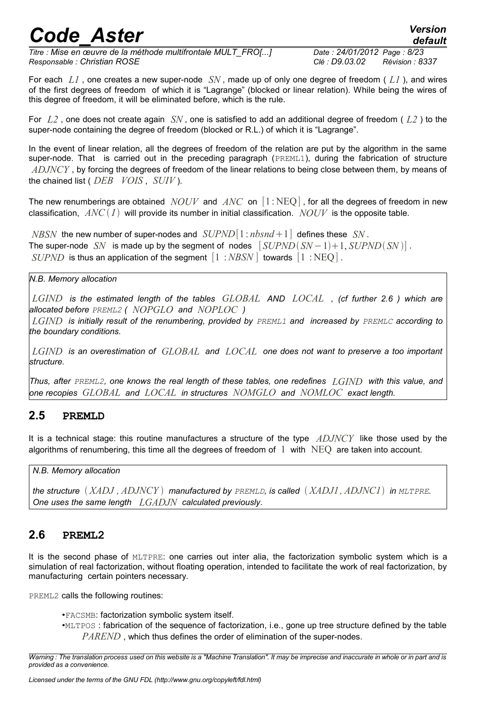*Titre : Mise en œuvre de la méthode multifrontale MULT\_FRO[...] Date : 24/01/2012 Page : 8/23 Responsable : Christian ROSE Clé : D9.03.02 Révision : 8337*

*default*

For each *L1* , one creates a new super-node *SN* , made up of only one degree of freedom ( *L1* ), and wires of the first degrees of freedom of which it is "Lagrange" (blocked or linear relation). While being the wires of this degree of freedom, it will be eliminated before, which is the rule.

For *L2* , one does not create again *SN* , one is satisfied to add an additional degree of freedom ( *L2* ) to the super-node containing the degree of freedom (blocked or R.L.) of which it is "Lagrange".

In the event of linear relation, all the degrees of freedom of the relation are put by the algorithm in the same super-node. That is carried out in the preceding paragraph (PREML1), during the fabrication of structure *ADJNCY* , by forcing the degrees of freedom of the linear relations to being close between them, by means of the chained list ( *DEB VOIS* , *SUIV* ).

The new renumberings are obtained *NOUV* and *ANC* on [1 : NEQ] , for all the degrees of freedom in new classification,  $ANC(I)$  will provide its number in initial classification. *NOUV* is the opposite table.

*NBSN* the new number of super-nodes and  $SUPND[1: nbsnd+1]$  defines these *SN*. The super-node *SN* is made up by the segment of nodes  $[SUPND(SN-1)+1, SUPND(SN)]$ . *SUPND* is thus an application of the segment  $\begin{bmatrix} 1 \\ \end{bmatrix}$ : *NBSN* ] towards  $\begin{bmatrix} 1 \\ \end{bmatrix}$ : NEO ].

*N.B. Memory allocation*

*LGIND is the estimated length of the tables GLOBAL AND LOCAL , (cf further [2.6](#page-7-0) ) which are allocated before PREML2 ( NOPGLO and NOPLOC )*

*LGIND is initially result of the renumbering, provided by PREML1 and increased by PREMLC according to the boundary conditions.*

*LGIND is an overestimation of GLOBAL and LOCAL one does not want to preserve a too important structure.*

*Thus, after PREML2, one knows the real length of these tables, one redefines LGIND with this value, and one recopies GLOBAL and LOCAL in structures NOMGLO and NOMLOC exact length.*

#### **2.5 PREMLD**

It is a technical stage: this routine manufactures a structure of the type *ADJNCY* like those used by the algorithms of renumbering, this time all the degrees of freedom of 1 with NEQ are taken into account.

*N.B. Memory allocation*

*the structure XADJ , ADJNCY manufactured by PREMLD, is called XADJ1, ADJNC1 in MLTPRE. One uses the same length LGADJN calculated previously*.

### <span id="page-7-0"></span>**2.6 PREML2**

It is the second phase of MLTPRE: one carries out inter alia, the factorization symbolic system which is a simulation of real factorization, without floating operation, intended to facilitate the work of real factorization, by manufacturing certain pointers necessary.

PREML2 calls the following routines:

•FACSMB: factorization symbolic system itself.

•MLTPOS : fabrication of the sequence of factorization, i.e., gone up tree structure defined by the table *PAREND* , which thus defines the order of elimination of the super-nodes.

*Warning : The translation process used on this website is a "Machine Translation". It may be imprecise and inaccurate in whole or in part and is provided as a convenience.*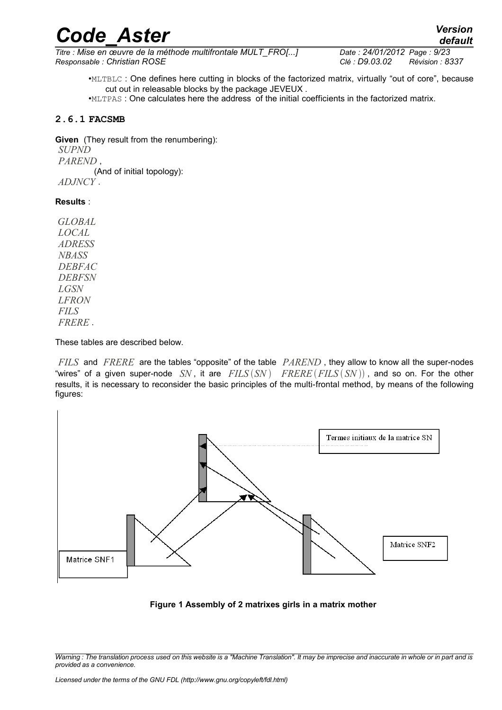*Titre : Mise en œuvre de la méthode multifrontale MULT\_FRO[...] Date : 24/01/2012 Page : 9/23 Responsable : Christian ROSE Clé : D9.03.02 Révision : 8337*

•MLTBLC : One defines here cutting in blocks of the factorized matrix, virtually "out of core", because cut out in releasable blocks by the package JEVEUX .

•MLTPAS : One calculates here the address of the initial coefficients in the factorized matrix.

#### **2.6.1 FACSMB**

**Given** (They result from the renumbering): *SUPND PAREND* , (And of initial topology): *ADJNCY* .

#### **Results** :

*GLOBAL LOCAL ADRESS NBASS DEBFAC DEBFSN LGSN LFRON FILS FRERE* .

These tables are described below.

*FILS* and *FRERE* are the tables "opposite" of the table *PAREND* , they allow to know all the super-nodes "wires" of a given super-node  $SN$ , it are  $FILS(SN)$   $FRERE(FILS(SN))$ , and so on. For the other results, it is necessary to reconsider the basic principles of the multi-frontal method, by means of the following figures:



**Figure 1 Assembly of 2 matrixes girls in a matrix mother**

*Warning : The translation process used on this website is a "Machine Translation". It may be imprecise and inaccurate in whole or in part and is provided as a convenience.*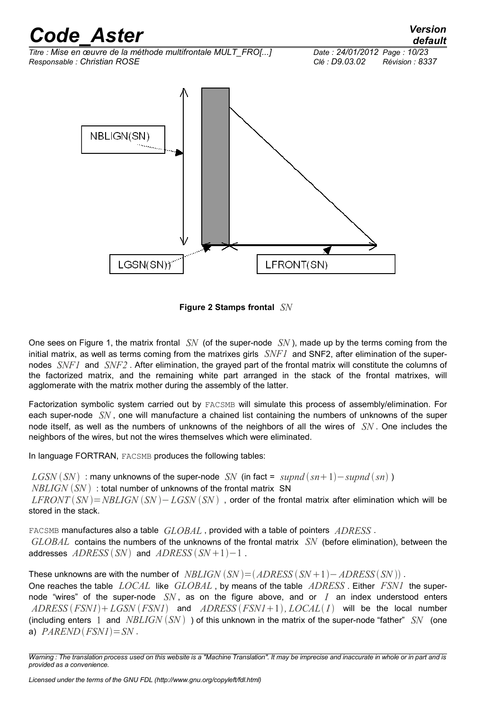

**Figure 2 Stamps frontal** *SN*

One sees on Figure 1, the matrix frontal *SN* (of the super-node *SN* ), made up by the terms coming from the initial matrix, as well as terms coming from the matrixes girls *SNF1* and SNF2, after elimination of the supernodes *SNF1* and *SNF2* . After elimination, the grayed part of the frontal matrix will constitute the columns of the factorized matrix, and the remaining white part arranged in the stack of the frontal matrixes, will agglomerate with the matrix mother during the assembly of the latter.

Factorization symbolic system carried out by FACSMB will simulate this process of assembly/elimination. For each super-node *SN* , one will manufacture a chained list containing the numbers of unknowns of the super node itself, as well as the numbers of unknowns of the neighbors of all the wires of *SN* . One includes the neighbors of the wires, but not the wires themselves which were eliminated.

In language FORTRAN, FACSMB produces the following tables:

 $LGSN(SN)$ : many unknowns of the super-node *SN* (in fact = *supnd*  $(sn+1)$  – *supnd*  $(sn)$ ) *NBLIGN* (*SN*): total number of unknowns of the frontal matrix SN  $LFRONT(SN) = NBLIGN(SN) - LGSN(SN)$ , order of the frontal matrix after elimination which will be stored in the stack.

FACSMB manufactures also a table *GLOBAL* , provided with a table of pointers *ADRESS* . *GLOBAL* contains the numbers of the unknowns of the frontal matrix *SN* (before elimination), between the addresses  $ADRESS$   $(SN)$  and  $ADRESS$   $(SN+1)-1$ .

These unknowns are with the number of  $NBLIGN(SN) = (ADRESS(SN+1) - ADRESS(SN))$ . One reaches the table *LOCAL* like *GLOBAL* , by means of the table *ADRESS* . Either *FSN1* the supernode "wires" of the super-node *SN* , as on the figure above, and or *I* an index understood enters *ADRESS FSN1LGSN FSN1* and *ADRESS FSN1*1*, LOCAL I* will be the local number (including enters 1 and *NBLIGN SN* ) of this unknown in the matrix of the super-node "father" *SN* (one a)  $PARENTD(FSNI)=SN$ .

*Warning : The translation process used on this website is a "Machine Translation". It may be imprecise and inaccurate in whole or in part and is provided as a convenience.*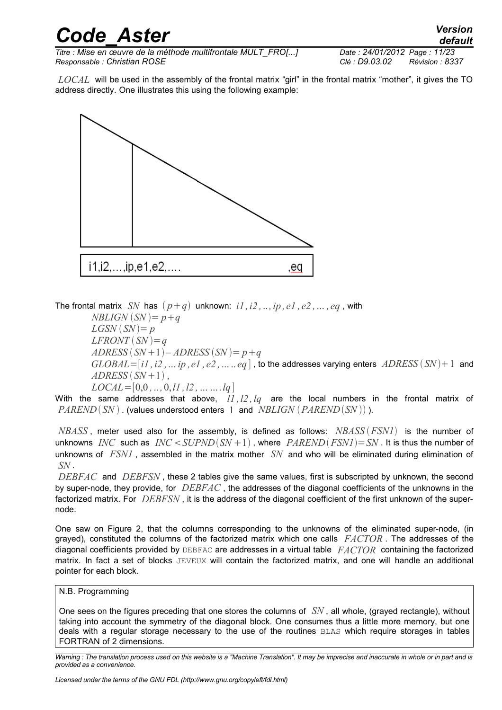*Titre : Mise en œuvre de la méthode multifrontale MULT\_FRO[...] Date : 24/01/2012 Page : 11/23 Responsable : Christian ROSE Clé : D9.03.02 Révision : 8337*

*LOCAL* will be used in the assembly of the frontal matrix "girl" in the frontal matrix "mother", it gives the TO address directly. One illustrates this using the following example:



The frontal matrix *SN* has  $(p+q)$  unknown:  $i1, i2, \ldots, ip, el, e2, \ldots, eq$ , with

 $NBLIGN(SN) = p+q$  $LGSN(SN)=p$  $LFRONT(SN) = q$  $ADRESS (SN+1) - ADRESS (SN) = p + q$  $GLOBAL = [i1, i2, ..., ip, el, e2, ..., eq]$ , to the addresses varying enters  $ADRESS(SN) + 1$  and  $ADRESS(SN+1)$ , *LOCAL*=[0,0 *,*.. *,*0,*l1 ,l2 ,……*.*lq*]

With the same addresses that above, *l1 ,l2 ,lq* are the local numbers in the frontal matrix of *PAREND*(*SN*). (values understood enters 1 and *NBLIGN* (*PAREND*(*SN*))).

*NBASS* , meter used also for the assembly, is defined as follows: *NBASS FSN1* is the number of unknowns *INC* such as  $INC \leq \text{SUPND}(SN+1)$ , where  $PAREND(FSNI)=SN$ . It is thus the number of unknowns of *FSN1* , assembled in the matrix mother *SN* and who will be eliminated during elimination of *SN* .

*DEBFAC* and *DEBFSN* , these 2 tables give the same values, first is subscripted by unknown, the second by super-node, they provide, for *DEBFAC* , the addresses of the diagonal coefficients of the unknowns in the factorized matrix. For *DEBFSN* , it is the address of the diagonal coefficient of the first unknown of the supernode.

One saw on Figure 2, that the columns corresponding to the unknowns of the eliminated super-node, (in grayed), constituted the columns of the factorized matrix which one calls *FACTOR* . The addresses of the diagonal coefficients provided by DEBFAC are addresses in a virtual table *FACTOR* containing the factorized matrix. In fact a set of blocks JEVEUX will contain the factorized matrix, and one will handle an additional pointer for each block.

#### N.B. Programming

One sees on the figures preceding that one stores the columns of *SN* , all whole, (grayed rectangle), without taking into account the symmetry of the diagonal block. One consumes thus a little more memory, but one deals with a regular storage necessary to the use of the routines BLAS which require storages in tables FORTRAN of 2 dimensions.

*Warning : The translation process used on this website is a "Machine Translation". It may be imprecise and inaccurate in whole or in part and is provided as a convenience.*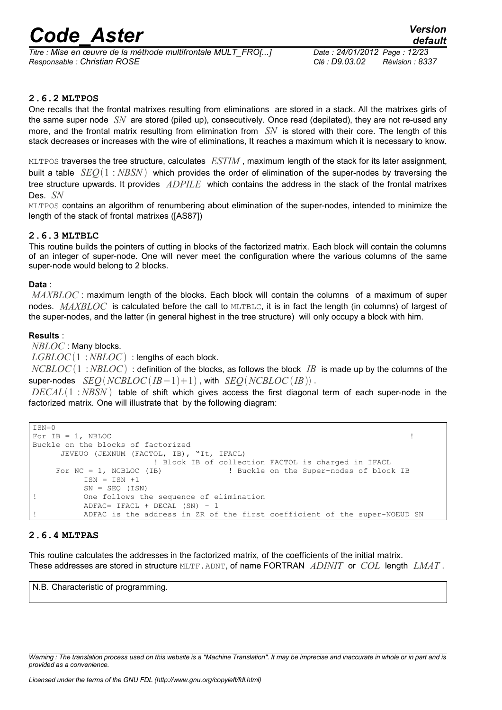*Titre : Mise en œuvre de la méthode multifrontale MULT\_FRO[...] Date : 24/01/2012 Page : 12/23 Responsable : Christian ROSE Clé : D9.03.02 Révision : 8337*

#### **2.6.2 MLTPOS**

One recalls that the frontal matrixes resulting from eliminations are stored in a stack. All the matrixes girls of the same super node *SN* are stored (piled up), consecutively. Once read (depilated), they are not re-used any more, and the frontal matrix resulting from elimination from *SN* is stored with their core. The length of this stack decreases or increases with the wire of eliminations, It reaches a maximum which it is necessary to know.

MLTPOS traverses the tree structure, calculates *ESTIM* , maximum length of the stack for its later assignment, built a table *SEQ*1 : *NBSN* which provides the order of elimination of the super-nodes by traversing the tree structure upwards. It provides *ADPILE* which contains the address in the stack of the frontal matrixes Des. *SN*

MLTPOS contains an algorithm of renumbering about elimination of the super-nodes, intended to minimize the length of the stack of frontal matrixes ([AS87])

#### **2.6.3 MLTBLC**

This routine builds the pointers of cutting in blocks of the factorized matrix. Each block will contain the columns of an integer of super-node. One will never meet the configuration where the various columns of the same super-node would belong to 2 blocks.

#### **Data** :

*MAXBLOC*: maximum length of the blocks. Each block will contain the columns of a maximum of super nodes. *MAXBLOC* is calculated before the call to MLTBLC, it is in fact the length (in columns) of largest of the super-nodes, and the latter (in general highest in the tree structure) will only occupy a block with him.

#### **Results** :

*NBLOC* : Many blocks.

*LGBLOC*(1:*NBLOC*): lengths of each block.

*NCBLOC*  $(1 : NBLOC)$  : definition of the blocks, as follows the block *IB* is made up by the columns of the super-nodes  $\text{SEO}(NCBLOC(IB-1)+1)$ , with  $\text{SEO}(NCBLOC(IB))$ .

*DECAL*1 :*NBSN* table of shift which gives access the first diagonal term of each super-node in the factorized matrix. One will illustrate that by the following diagram:

```
ISN=0For IB = 1, NBLOC \qquad !
Buckle on the blocks of factorized
      JEVEUO (JEXNUM (FACTOL, IB), "It, IFACL)
                      ! Block IB of collection FACTOL is charged in IFACL
     For NC = 1, NCBLOC (IB) ! Buckle on the Super-nodes of block IB
         ISN = ISN +1SN = SEQ (ISN)! One follows the sequence of elimination
          ADFAC= IFACL + DECAL (SN) – 1 
         ADFAC is the address in ZR of the first coefficient of the super-NOEUD SN
```
#### **2.6.4 MLTPAS**

This routine calculates the addresses in the factorized matrix, of the coefficients of the initial matrix. These addresses are stored in structure MLTF.ADNT, of name FORTRAN *ADINIT* or *COL* length *LMAT* .

N.B. Characteristic of programming.

*Warning : The translation process used on this website is a "Machine Translation". It may be imprecise and inaccurate in whole or in part and is provided as a convenience.*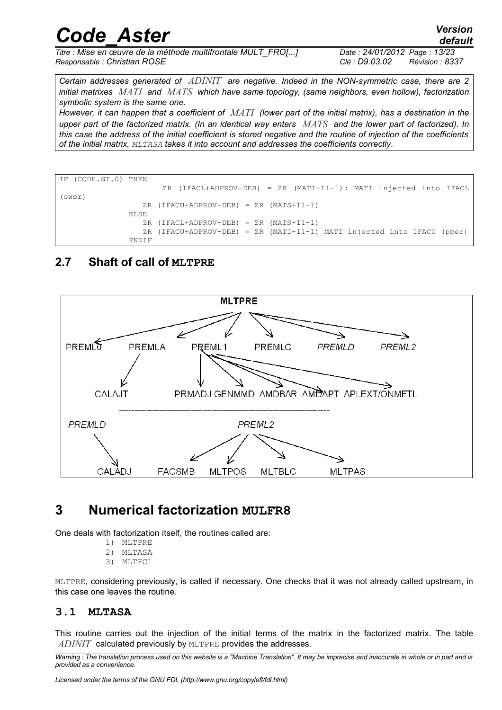*Certain addresses generated of ADINIT are negative. Indeed in the NON-symmetric case, there are 2 initial matrixes MATI and MATS which have same topology, (same neighbors, even hollow), factorization symbolic system is the same one.* 

*However, it can happen that a coefficient of MATI (lower part of the initial matrix), has a destination in the upper part of the factorized matrix. (In an identical way enters MATS and the lower part of factorized). In this case the address of the initial coefficient is stored negative and the routine of injection of the coefficients of the initial matrix, MLTASA takes it into account and addresses the coefficients correctly*.

```
IF (CODE.GT.0) THEN
                        ZR (IFACL+ADPROV-DEB) = ZR (MATI+I1-1): MATI injected into IFACL
(ower)
                   ZR (IFACU+ADPROV-DEB) = ZR (MATS+I1-1)
                ELSE
                  ZR (IFACL+ADPROV-DEB) = ZR (MATS+I1-1)
                   ZR (IFACU+ADPROV-DEB) = ZR (MATI+I1-1) MATI injected into IFACU (pper)
               ENDIF
```
### **2.7 Shaft of call of MLTPRE**



### <span id="page-12-0"></span>**3 Numerical factorization MULFR8**

One deals with factorization itself, the routines called are:

- 1) MLTPRE
- 2) MLTASA
- 3) MLTFC1

MLTPRE, considering previously, is called if necessary. One checks that it was not already called upstream, in this case one leaves the routine.

#### **3.1 MLTASA**

This routine carries out the injection of the initial terms of the matrix in the factorized matrix. The table *ADINIT* calculated previously by MLTPRE provides the addresses.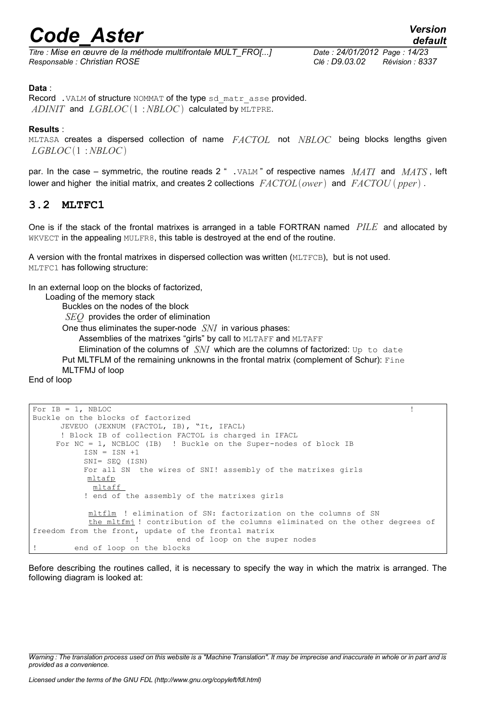*Titre : Mise en œuvre de la méthode multifrontale MULT\_FRO[...] Date : 24/01/2012 Page : 14/23 Responsable : Christian ROSE Clé : D9.03.02 Révision : 8337*

#### **Data** :

Record . VALM of structure NOMMAT of the type sd\_matr\_asse provided. *ADINIT* and *LGBLOC*(1:*NBLOC*) calculated by MLTPRE.

#### **Results** :

MLTASA creates a dispersed collection of name *FACTOL* not *NBLOC* being blocks lengths given *LGBLOC*1 :*NBLOC*

par. In the case – symmetric, the routine reads 2 " .VALM " of respective names *MATI* and *MATS* , left lower and higher the initial matrix, and creates 2 collections  $FACTOL(ower)$  and  $FACTOU(pper)$ .

#### **3.2 MLTFC1**

One is if the stack of the frontal matrixes is arranged in a table FORTRAN named *PILE* and allocated by WKVECT in the appealing MULFR8, this table is destroyed at the end of the routine.

A version with the frontal matrixes in dispersed collection was written (MLTFCB), but is not used. MLTFC1 has following structure:

In an external loop on the blocks of factorized,

Loading of the memory stack

Buckles on the nodes of the block

*SEQ* provides the order of elimination

One thus eliminates the super-node *SNI* in various phases:

Assemblies of the matrixes "girls" by call to MLTAFF and MLTAFF

Elimination of the columns of  $SNI$  which are the columns of factorized: Up to date Put MLTFLM of the remaining unknowns in the frontal matrix (complement of Schur): Fine MLTFMJ of loop

End of loop

```
For IB = 1, NBLOC \qquad \qquad !
Buckle on the blocks of factorized
      JEVEUO (JEXNUM (FACTOL, IB), "It, IFACL)
      ! Block IB of collection FACTOL is charged in IFACL
     For NC = 1, NCBLOC (IB) ! Buckle on the Super-nodes of block IB
          ISN = ISN +1 SNI= SEQ (ISN)
           For all SN the wires of SNI! assembly of the matrixes girls
           mltafp
             mltaff 
           ! end of the assembly of the matrixes girls
            mltflm ! elimination of SN: factorization on the columns of SN
            the mltfmj ! contribution of the columns eliminated on the other degrees of
freedom from the front, update of the frontal matrix
                     ! end of loop on the super nodes
        end of loop on the blocks
```
Before describing the routines called, it is necessary to specify the way in which the matrix is arranged. The following diagram is looked at:

*Warning : The translation process used on this website is a "Machine Translation". It may be imprecise and inaccurate in whole or in part and is provided as a convenience.*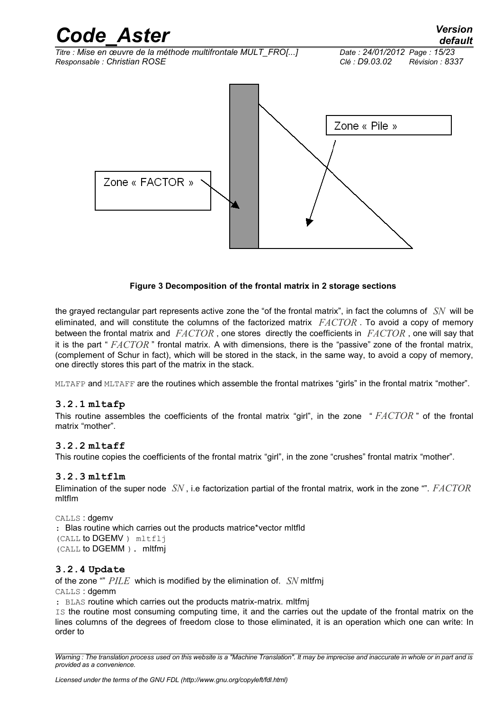

#### **Figure 3 Decomposition of the frontal matrix in 2 storage sections**

the grayed rectangular part represents active zone the "of the frontal matrix", in fact the columns of *SN* will be eliminated, and will constitute the columns of the factorized matrix *FACTOR* . To avoid a copy of memory between the frontal matrix and *FACTOR* , one stores directly the coefficients in *FACTOR* , one will say that it is the part " *FACTOR* " frontal matrix. A with dimensions, there is the "passive" zone of the frontal matrix, (complement of Schur in fact), which will be stored in the stack, in the same way, to avoid a copy of memory, one directly stores this part of the matrix in the stack.

MLTAFP and MLTAFF are the routines which assemble the frontal matrixes "girls" in the frontal matrix "mother".

#### **3.2.1 mltafp**

This routine assembles the coefficients of the frontal matrix "girl", in the zone " *FACTOR* " of the frontal matrix "mother".

#### **3.2.2 mltaff**

This routine copies the coefficients of the frontal matrix "girl", in the zone "crushes" frontal matrix "mother".

#### **3.2.3 mltflm**

Elimination of the super node *SN* , i.e factorization partial of the frontal matrix, work in the zone "". *FACTOR* mltflm

CALLS : dgemv : Blas routine which carries out the products matrice\*vector mltfld (CALL to DGEMV ) mltflj (CALL to DGEMM ). mltfmj

#### **3.2.4 Update**

of the zone "" *PILE* which is modified by the elimination of. *SN* mltfmj

CALLS : dgemm

: BLAS routine which carries out the products matrix-matrix. mltfmj

IS the routine most consuming computing time, it and the carries out the update of the frontal matrix on the lines columns of the degrees of freedom close to those eliminated, it is an operation which one can write: In order to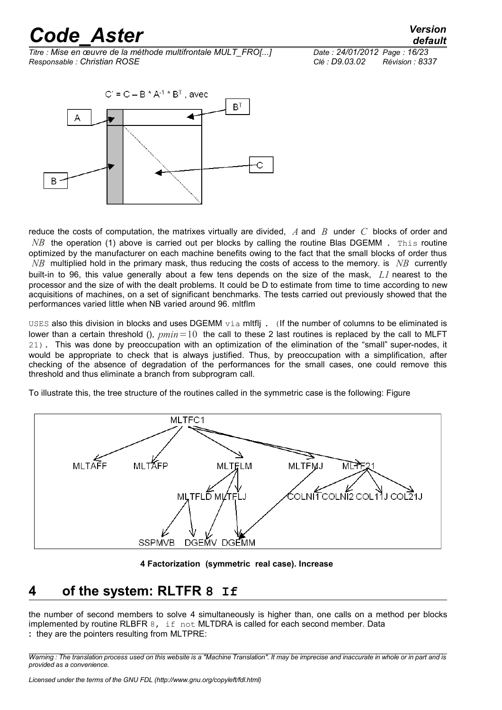*Titre : Mise en œuvre de la méthode multifrontale MULT\_FRO[...] Date : 24/01/2012 Page : 16/23 Responsable : Christian ROSE Clé : D9.03.02 Révision : 8337*



reduce the costs of computation, the matrixes virtually are divided, *A* and *B* under *C* blocks of order and *NB* the operation (1) above is carried out per blocks by calling the routine Blas DGEMM. This routine optimized by the manufacturer on each machine benefits owing to the fact that the small blocks of order thus *NB* multiplied hold in the primary mask, thus reducing the costs of access to the memory. is *NB* currently built-in to 96, this value generally about a few tens depends on the size of the mask, *L1* nearest to the processor and the size of with the dealt problems. It could be D to estimate from time to time according to new acquisitions of machines, on a set of significant benchmarks. The tests carried out previously showed that the performances varied little when NB varied around 96. mltflm

USES also this division in blocks and uses DGEMM  $via$  mltflj. (If the number of columns to be eliminated is lower than a certain threshold (),  $pmin=10$  the call to these 2 last routines is replaced by the call to MLFT 21). This was done by preoccupation with an optimization of the elimination of the "small" super-nodes, it would be appropriate to check that is always justified. Thus, by preoccupation with a simplification, after checking of the absence of degradation of the performances for the small cases, one could remove this threshold and thus eliminate a branch from subprogram call.

To illustrate this, the tree structure of the routines called in the symmetric case is the following: Figure



**4 Factorization (symmetric real case). Increase**

### <span id="page-15-0"></span>**4 of the system: RLTFR 8 If**

the number of second members to solve 4 simultaneously is higher than, one calls on a method per blocks implemented by routine RLBFR  $8.$  if not MLTDRA is called for each second member. Data **:** they are the pointers resulting from MLTPRE:

*Warning : The translation process used on this website is a "Machine Translation". It may be imprecise and inaccurate in whole or in part and is provided as a convenience.*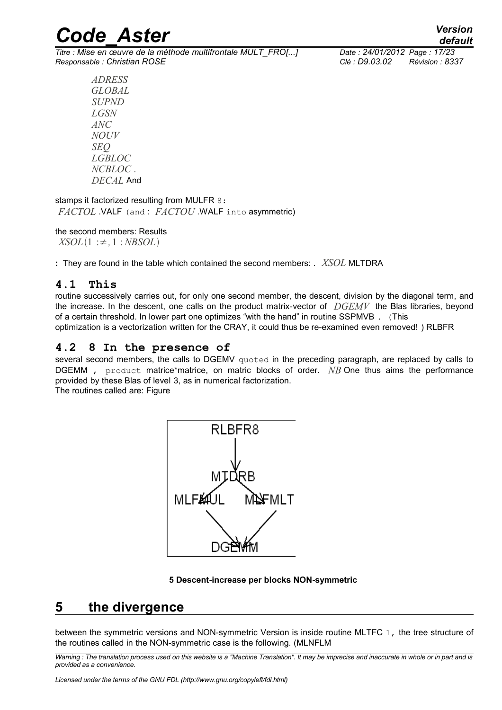*Titre : Mise en œuvre de la méthode multifrontale MULT\_FRO[...] Date : 24/01/2012 Page : 17/23 Responsable : Christian ROSE Clé : D9.03.02 Révision : 8337*

*ADRESS GLOBAL SUPND LGSN ANC NOUV SEQ LGBLOC NCBLOC* . *DECAL* And

stamps it factorized resulting from MULFR 8: *FACTOL* .VALF (and : *FACTOU* .WALF into asymmetric)

#### the second members: Results

*XSOL*1 :≠*,*1 :*NBSOL*

**:** They are found in the table which contained the second members: . *XSOL* MLTDRA

#### **4.1 This**

routine successively carries out, for only one second member, the descent, division by the diagonal term, and the increase. In the descent, one calls on the product matrix-vector of *DGEMV* the Blas libraries, beyond of a certain threshold. In lower part one optimizes "with the hand" in routine SSPMVB . (This optimization is a vectorization written for the CRAY, it could thus be re-examined even removed! ) RLBFR

#### **4.2 8 In the presence of**

several second members, the calls to DGEMV quoted in the preceding paragraph, are replaced by calls to DGEMM, product matrice\*matrice, on matric blocks of order. *NB* One thus aims the performance provided by these Blas of level 3, as in numerical factorization.

The routines called are: Figure



#### **5 Descent-increase per blocks NON-symmetric**

### **5 the divergence**

between the symmetric versions and NON-symmetric Version is inside routine MLTFC 1, the tree structure of the routines called in the NON-symmetric case is the following. (MLNFLM

*Warning : The translation process used on this website is a "Machine Translation". It may be imprecise and inaccurate in whole or in part and is provided as a convenience.*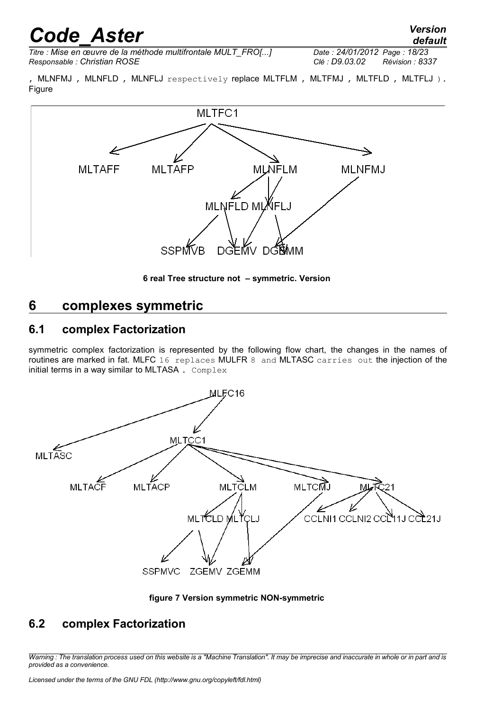*default*

*Titre : Mise en œuvre de la méthode multifrontale MULT\_FRO[...] Date : 24/01/2012 Page : 18/23 Responsable : Christian ROSE Clé : D9.03.02 Révision : 8337*

, MLNFMJ, MLNFLD, MLNFLJ respectively replace MLTFLM, MLTFMJ, MLTFLD, MLTFLJ). Figure



**6 real Tree structure not – symmetric. Version**

### **6 complexes symmetric**

### **6.1 complex Factorization**

symmetric complex factorization is represented by the following flow chart, the changes in the names of routines are marked in fat. MLFC 16 replaces MULFR 8 and MLTASC carries out the injection of the initial terms in a way similar to MLTASA. Complex





### **6.2 complex Factorization**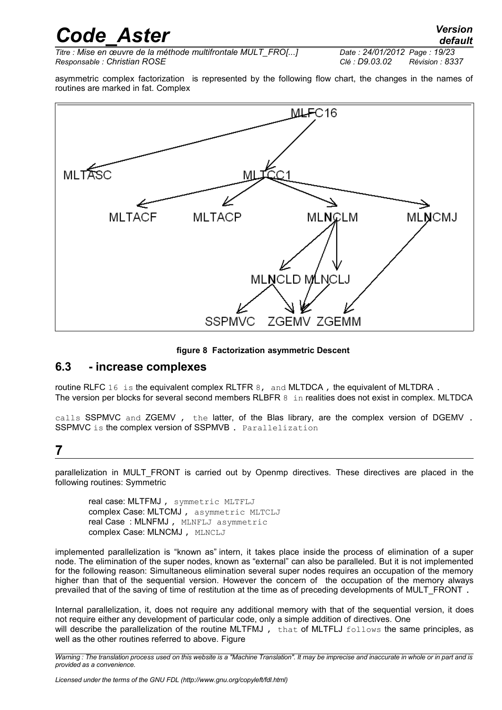*Titre : Mise en œuvre de la méthode multifrontale MULT\_FRO[...] Date : 24/01/2012 Page : 19/23 Responsable : Christian ROSE Clé : D9.03.02 Révision : 8337*

asymmetric complex factorization is represented by the following flow chart, the changes in the names of routines are marked in fat. Complex



#### **figure 8 Factorization asymmetric Descent**

#### **6.3 - increase complexes**

routine RLFC 16 is the equivalent complex RLTFR 8, and MLTDCA, the equivalent of MLTDRA. The version per blocks for several second members RLBFR 8 in realities does not exist in complex. MLTDCA

calls SSPMVC and ZGEMV, the latter, of the Blas library, are the complex version of DGEMV. SSPMVC is the complex version of SSPMVB. Parallelization

### **7**

parallelization in MULT FRONT is carried out by Openmp directives. These directives are placed in the following routines: Symmetric

real case: MLTFMJ , symmetric MLTFLJ complex Case: MLTCMJ , asymmetric MLTCLJ real Case : MLNFMJ , MLNFLJ asymmetric complex Case: MLNCMJ , MLNCLJ

implemented parallelization is "known as" intern, it takes place inside the process of elimination of a super node. The elimination of the super nodes, known as "external" can also be paralleled. But it is not implemented for the following reason: Simultaneous elimination several super nodes requires an occupation of the memory higher than that of the sequential version. However the concern of the occupation of the memory always prevailed that of the saving of time of restitution at the time as of preceding developments of MULT\_FRONT.

Internal parallelization, it, does not require any additional memory with that of the sequential version, it does not require either any development of particular code, only a simple addition of directives. One will describe the parallelization of the routine MLTFMJ, that of MLTFLJ follows the same principles, as well as the other routines referred to above. Figure

*Warning : The translation process used on this website is a "Machine Translation". It may be imprecise and inaccurate in whole or in part and is provided as a convenience.*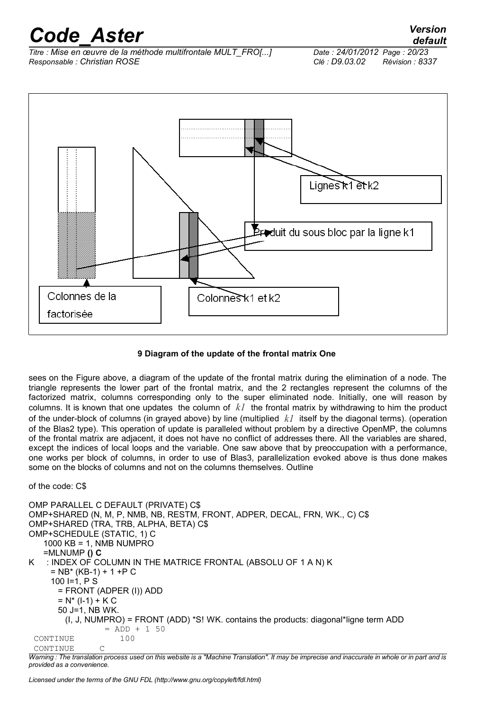*Titre : Mise en œuvre de la méthode multifrontale MULT\_FRO[...] Date : 24/01/2012 Page : 20/23 Responsable : Christian ROSE Clé : D9.03.02 Révision : 8337*





#### **9 Diagram of the update of the frontal matrix One**

sees on the Figure above, a diagram of the update of the frontal matrix during the elimination of a node. The triangle represents the lower part of the frontal matrix, and the 2 rectangles represent the columns of the factorized matrix, columns corresponding only to the super eliminated node. Initially, one will reason by columns. It is known that one updates the column of *k1* the frontal matrix by withdrawing to him the product of the under-block of columns (in grayed above) by line (multiplied *k1* itself by the diagonal terms). (operation of the Blas2 type). This operation of update is paralleled without problem by a directive OpenMP, the columns of the frontal matrix are adjacent, it does not have no conflict of addresses there. All the variables are shared, except the indices of local loops and the variable. One saw above that by preoccupation with a performance, one works per block of columns, in order to use of Blas3, parallelization evoked above is thus done makes some on the blocks of columns and not on the columns themselves. Outline

of the code: C\$

```
OMP PARALLEL C DEFAULT (PRIVATE) C$
OMP+SHARED (N, M, P, NMB, NB, RESTM, FRONT, ADPER, DECAL, FRN, WK., C) C$
OMP+SHARED (TRA, TRB, ALPHA, BETA) C$
OMP+SCHEDULE (STATIC, 1) C
    1000 KB = 1, NMB NUMPRO
    =MLNUMP () C
K : INDEX OF COLUMN IN THE MATRICE FRONTAL (ABSOLU OF 1 A N) K
    = NB* (KB-1) + 1 +P C
     100 I=1, P S
       = FRONT (ADPER (I)) ADD
      = N^* (I-1) + K C
       50 J=1, NB WK.
        (I, J, NUMPRO) = FRONT (ADD) *S! WK. contains the products: diagonal*ligne term ADD
                = ADD + 1 50
  CONTINUE 100
  CONTINUE C
```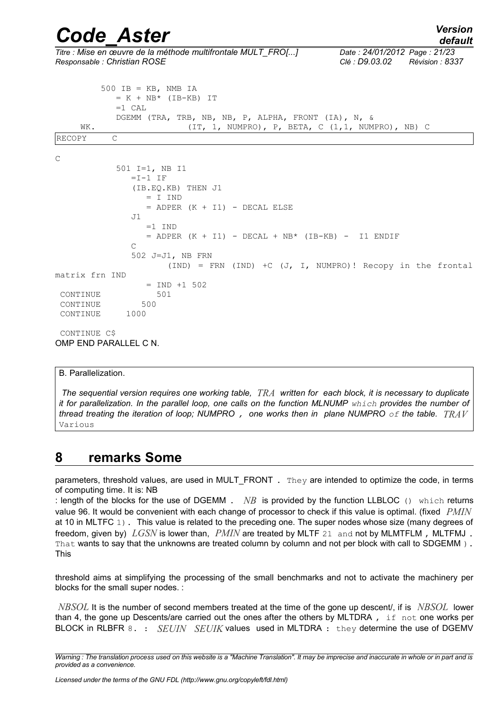*Titre : Mise en œuvre de la méthode multifrontale MULT\_FRO[...] Date : 24/01/2012 Page : 21/23 Responsable : Christian ROSE Clé : D9.03.02 Révision : 8337*

|                | $500$ IB = KB, NMB IA                                            |
|----------------|------------------------------------------------------------------|
|                | $= K + NB*$ (IB-KB) IT                                           |
|                | $=1$ CAL                                                         |
|                | DGEMM (TRA, TRB, NB, NB, P, ALPHA, FRONT (IA), N, &              |
| WK.            | $(IT, 1, NUMPRO)$ , P, BETA, C $(1,1, NUMPRO)$ , NB) C           |
| <b>RECOPY</b>  | $\mathcal{C}$                                                    |
|                |                                                                  |
| C              |                                                                  |
|                | 501 $I=1$ , NB I1                                                |
|                | $=I-1 IF$                                                        |
|                | (IB.EQ.KB) THEN J1                                               |
|                | $= I$ IND                                                        |
|                | $=$ ADPER $(K + I1)$ - DECAL ELSE                                |
|                | J1                                                               |
|                | $=1$ IND                                                         |
|                | $=$ ADPER (K + I1) - DECAL + NB* (IB-KB) - I1 ENDIF              |
|                | $\mathcal{C}$                                                    |
|                | 502 J=J1, NB FRN                                                 |
|                | $(IND)$ = FRN $(IND)$ +C $(J, I, NUMPRO)!$ Recopy in the frontal |
| matrix frn IND |                                                                  |
|                | $=$ IND $+1$ 502                                                 |
| CONTINUE       | 501                                                              |
| CONTINUE       | 500                                                              |
| CONTINUE       | 1000                                                             |
|                |                                                                  |
| CONTINUE CS    |                                                                  |

OMP END PARALLEL C N.

#### B. Parallelization.

*The sequential version requires one working table, TRA written for each block, it is necessary to duplicate it for parallelization. In the parallel loop, one calls on the function MLNUMP which provides the number of thread treating the iteration of loop; NUMPRO , one works then in plane NUMPRO of the table. TRAV* Various

### **8 remarks Some**

parameters, threshold values, are used in MULT\_FRONT . They are intended to optimize the code, in terms of computing time. It is: NB

: length of the blocks for the use of DGEMM . *NB* is provided by the function LLBLOC () which returns value 96. It would be convenient with each change of processor to check if this value is optimal. (fixed *PMIN* at 10 in MLTFC 1). This value is related to the preceding one. The super nodes whose size (many degrees of freedom, given by) *LGSN* is lower than, *PMIN* are treated by MLTF 21 and not by MLMTFLM , MLTFMJ . That wants to say that the unknowns are treated column by column and not per block with call to SDGEMM). This

threshold aims at simplifying the processing of the small benchmarks and not to activate the machinery per blocks for the small super nodes. :

*NBSOL* It is the number of second members treated at the time of the gone up descent/, if is *NBSOL* lower than 4, the gone up Descents/are carried out the ones after the others by MLTDRA, if not one works per BLOCK in RLBFR 8. : *SEUIN SEUIK* values used in MLTDRA : they determine the use of DGEMV

*Warning : The translation process used on this website is a "Machine Translation". It may be imprecise and inaccurate in whole or in part and is provided as a convenience.*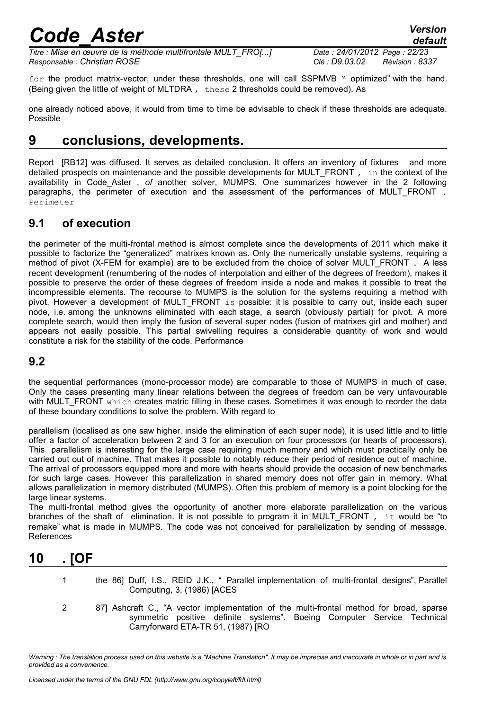*default*

*Titre : Mise en œuvre de la méthode multifrontale MULT\_FRO[...] Date : 24/01/2012 Page : 22/23 Responsable : Christian ROSE Clé : D9.03.02 Révision : 8337*

for the product matrix-vector, under these thresholds, one will call SSPMVB " optimized" with the hand. (Being given the little of weight of MLTDRA , these 2 thresholds could be removed). As

one already noticed above, it would from time to time be advisable to check if these thresholds are adequate. Possible

## **9 conclusions, developments.**

Report [RB12] was diffused. It serves as detailed conclusion. It offers an inventory of fixtures and more detailed prospects on maintenance and the possible developments for MULT\_FRONT, in the context of the availability in Code\_Aster *, of* another solver, MUMPS. One summarizes however in the 2 following paragraphs, the perimeter of execution and the assessment of the performances of MULT FRONT. Perimeter

### **9.1 of execution**

the perimeter of the multi-frontal method is almost complete since the developments of 2011 which make it possible to factorize the "generalized" matrixes known as. Only the numerically unstable systems, requiring a method of pivot (X-FEM for example) are to be excluded from the choice of solver MULT\_FRONT . A less recent development (renumbering of the nodes of interpolation and either of the degrees of freedom), makes it possible to preserve the order of these degrees of freedom inside a node and makes it possible to treat the incompressible elements. The recourse to MUMPS is the solution for the systems requiring a method with pivot. However a development of MULT\_FRONT is possible: it is possible to carry out, inside each super node, i.e. among the unknowns eliminated with each stage, a search (obviously partial) for pivot. A more complete search, would then imply the fusion of several super nodes (fusion of matrixes girl and mother) and appears not easily possible. This partial swivelling requires a considerable quantity of work and would constitute a risk for the stability of the code. Performance

### **9.2**

the sequential performances (mono-processor mode) are comparable to those of MUMPS in much of case. Only the cases presenting many linear relations between the degrees of freedom can be very unfavourable with MULT\_FRONT which creates matric filling in these cases. Sometimes it was enough to reorder the data of these boundary conditions to solve the problem. With regard to

parallelism (localised as one saw higher, inside the elimination of each super node), it is used little and to little offer a factor of acceleration between 2 and 3 for an execution on four processors (or hearts of processors). This parallelism is interesting for the large case requiring much memory and which must practically only be carried out out of machine. That makes it possible to notably reduce their period of residence out of machine. The arrival of processors equipped more and more with hearts should provide the occasion of new benchmarks for such large cases. However this parallelization in shared memory does not offer gain in memory. What allows parallelization in memory distributed (MUMPS). Often this problem of memory is a point blocking for the large linear systems.

The multi-frontal method gives the opportunity of another more elaborate parallelization on the various branches of the shaft of elimination. It is not possible to program it in MULT\_FRONT , it would be "to remake" what is made in MUMPS. The code was not conceived for parallelization by sending of message. References

## **10 . [OF**

- 1 the 86] Duff, I.S., REID J.K., " Parallel implementation of multi-frontal designs", Parallel Computing, 3, (1986) [ACES
- 2 87] Ashcraft C., "A vector implementation of the multi-frontal method for broad, sparse symmetric positive definite systems". Boeing Computer Service Technical Carryforward ETA-TR 51, (1987) [RO

*Warning : The translation process used on this website is a "Machine Translation". It may be imprecise and inaccurate in whole or in part and is provided as a convenience.*